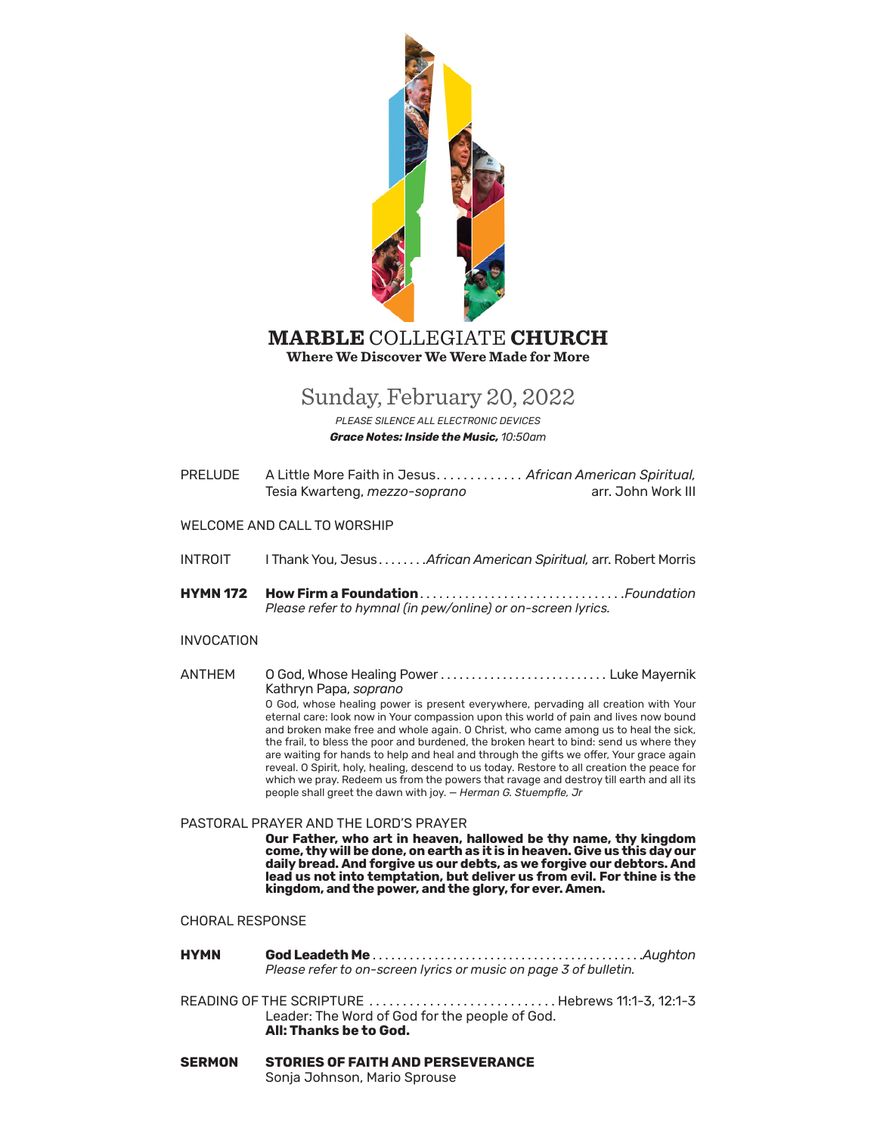

### **MARBLE** COLLEGIATE **CHURCH Where We Discover We Were Made for More**

# Sunday, February 20, 2022

PLEASE SILENCE ALL ELECTRONIC DEVICES **Grace Notes: Inside the Music. 10:50am** 

PRELUDE. A Little More Faith in Jesus........... African American Spiritual, Tesia Kwarteng, mezzo-soprano arr. John Work III

#### **WELCOME AND CALL TO WORSHIP**

- **INTROIT** I Thank You, Jesus....... African American Spiritual, arr. Robert Morris
- **HYMN 172** Please refer to hymnal (in pew/online) or on-screen lyrics.

#### **INVOCATION**

**ANTHFM** O God, Whose Healing Power ................................ Luke Mayernik Kathryn Papa, soprano

O God, whose healing power is present everywhere, pervading all creation with Your eternal care: look now in Your compassion upon this world of pain and lives now bound and broken make free and whole again. O Christ, who came among us to heal the sick, the frail, to bless the poor and burdened, the broken heart to bind: send us where they are waiting for hands to help and heal and through the gifts we offer, Your grace again reveal. O Spirit, holy, healing, descend to us today. Restore to all creation the peace for which we pray. Redeem us from the powers that ravage and destroy till earth and all its people shall greet the dawn with joy. - Herman G. Stuempfle, Jr

#### PASTORAL PRAYER AND THE LORD'S PRAYER

Our Father, who art in heaven, hallowed be thy name, thy kingdom come, thy will be done, on earth as it is in heaven. Give us this day our daily bread. And forgive us our debts, as we forgive our debtors. And lead us not into temptation, but deliver us from evil. For thine is the kingdom, and the power, and the glory, for ever. Amen.

#### **CHORAL RESPONSE**

- **HYMN** Please refer to on-screen lyrics or music on page 3 of bulletin.
- READING OF THE SCRIPTURE .............................Hebrews 11:1-3, 12:1-3 Leader: The Word of God for the people of God. All: Thanks be to God.
- **SERMON STORIES OF FAITH AND PERSEVERANCE** Sonja Johnson, Mario Sprouse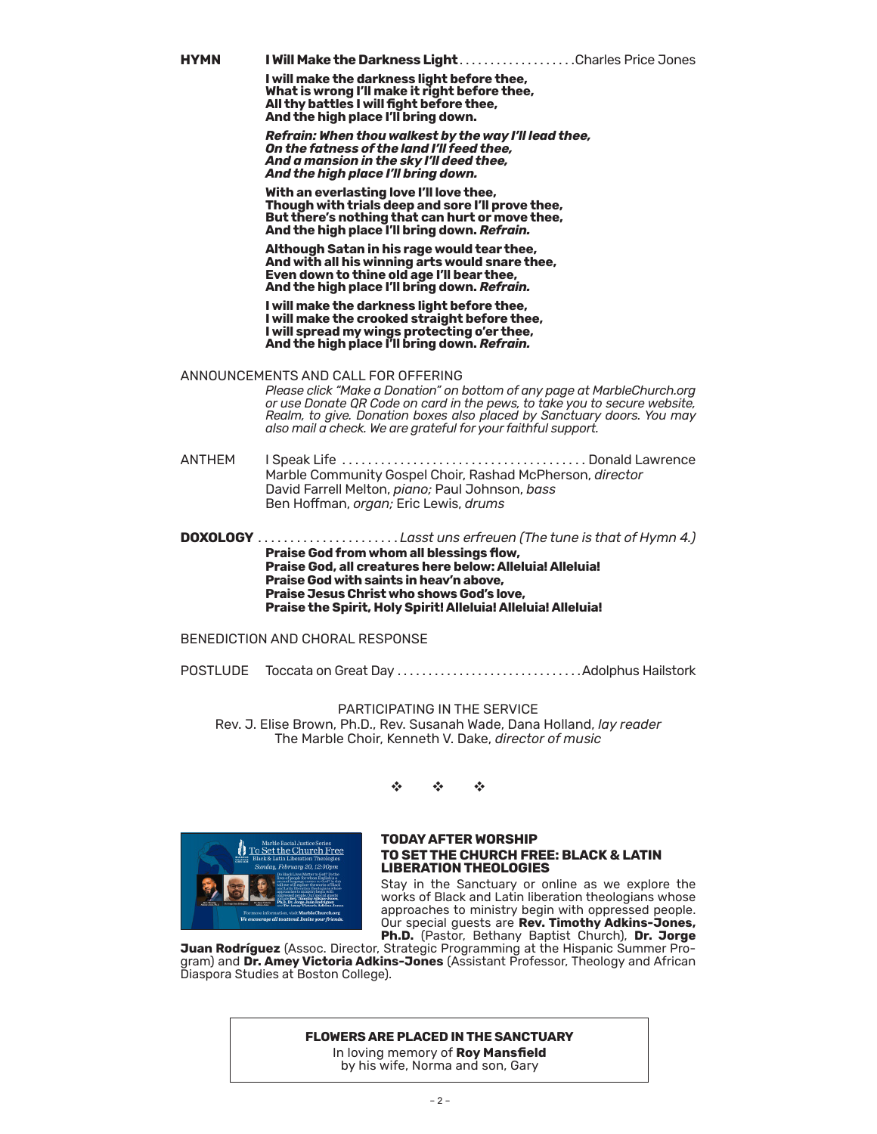**I will make the darkness light before thee, What is wrong I'll make it right before thee, All thy battles I will fight before thee, And the high place I'll bring down.**

*Refrain: When thou walkest by the way I'll lead thee, On the fatness of the land I'll feed thee, And a mansion in the sky I'll deed thee, And the high place I'll bring down.*

**With an everlasting love I'll love thee, Though with trials deep and sore I'll prove thee, But there's nothing that can hurt or move thee, And the high place I'll bring down.** *Refrain.*

**Although Satan in his rage would tear thee, And with all his winning arts would snare thee, Even down to thine old age I'll bear thee, And the high place I'll bring down.** *Refrain.*

**I will make the darkness light before thee, I will make the crooked straight before thee, I will spread my wings protecting o'er thee, And the high place I'll bring down.** *Refrain.*

ANNOUNCEMENTS AND CALL FOR [OFFERING](https://onrealm.org/marblechurch/-/give/now)

*Please click ["Make a Donation"](https://onrealm.org/marblechurch/-/give/now) on bottom of any page at MarbleChurch.org or use Donate QR Code on card in the pews, to take you to secure website, Realm, to give. Donation boxes also placed by Sanctuary doors. You may also mail a check. We are grateful for your faithful support.*

ANTHEM I Speak Life. . . Donald Lawrence Marble Community Gospel Choir, Rashad McPherson, *director* David Farrell Melton, *piano;* Paul Johnson, *bass* Ben Hoffman, *organ;* Eric Lewis, *drums*

**DOXOLOGY**  $\ldots$ ..................Lasst uns erfreuen (The tune is that of Hymn 4.) **Praise God from whom all blessings flow, Praise God, all creatures here below: Alleluia! Alleluia! Praise God with saints in heav'n above, Praise Jesus Christ who shows God's love, Praise the Spirit, Holy Spirit! Alleluia! Alleluia! Alleluia!**

BENEDICTION AND CHORAL RESPONSE

POSTLUDE Toccata on Great Day � � � � � � � � � � � � � � � � � � � � � � � � � � � � � �Adolphus Hailstork

PARTICIPATING IN THE SERVICE Rev. J. Elise Brown, Ph.D., Rev. Susanah Wade, Dana Holland, *lay reader* The Marble Choir, Kenneth V. Dake, *director of music*

v v v



#### **TODAY AFTER WORSHIP TO SET THE CHURCH FREE: BLACK & LATIN LIBERATION THEOLOGIES**

Stay in the Sanctuary or online as we explore the works of Black and Latin liberation theologians whose approaches to ministry begin with oppressed people. Our special guests are **Rev. Timothy Adkins-Jones, Ph.D.** (Pastor, Bethany Baptist Church), **Dr. Jorge** 

**Juan Rodríguez** (Assoc. Director, Strategic Programming at the Hispanic Summer Program) and **Dr. Amey Victoria Adkins-Jones** (Assistant Professor, Theology and African Diaspora Studies at Boston College).

#### **FLOWERS ARE PLACED IN THE SANCTUARY**

In loving memory of **Roy Mansfield** by his wife, Norma and son, Gary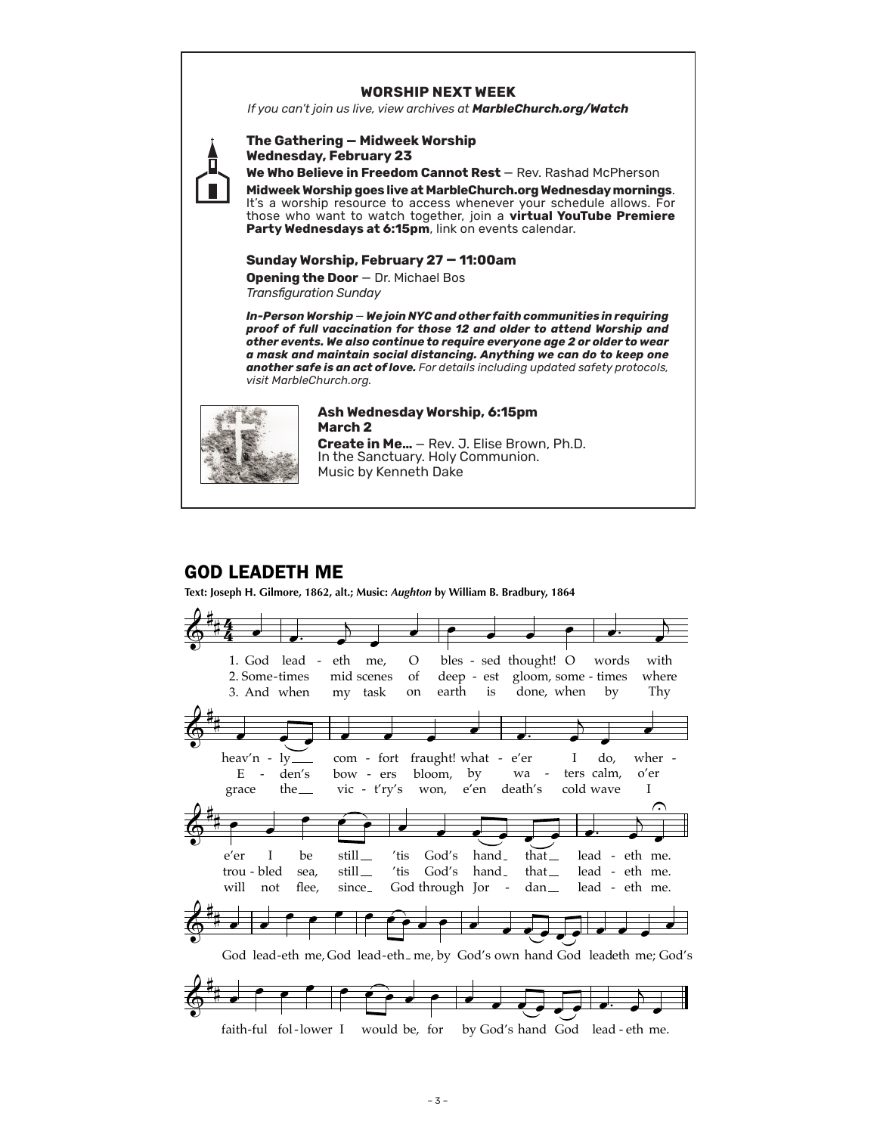### **WORSHIP NEXT WEEK**

*If you can't join us live, view archives at MarbleChurch.org/Watch*



**Wednesday, February 23** We Who Believe in Freedom Cannot Rest - Rev. Rashad McPherson **Midweek Worship goes live at MarbleChurch.org Wednesday mornings**. It's a worship resource to access whenever your schedule allows. For those who want to watch together, join a **virtual YouTube Premiere**  Party Wednesdays at 6:15pm, link on events calendar.

### **Sunday Worship, February 27 — 11:00am**

**Opening the Door** — Dr. Michael Bos *Transfiguration Sunday* 

**The Gathering — Midweek Worship**

*In-Person Worship* — *We join NYC and other faith communities in requiring proof of full vaccination for those 12 and older to attend Worship and other events. We also continue to require everyone age 2 or older to wear a mask and maintain social distancing. Anything we can do to keep one another safe is an act of love. For details including updated safety protocols, visit MarbleChurch.org.*



#### **Ash Wednesday Worship, 6:15pm March 2**

**Create in Me…** — Rev. J. Elise Brown, Ph.D. In the Sanctuary. Holy Communion. Music by Kenneth Dake

## GOD LEADETH ME

**Text: Joseph H. Gilmore, 1862, alt.; Music:** *Aughton* **by William B. Bradbury, 1864**

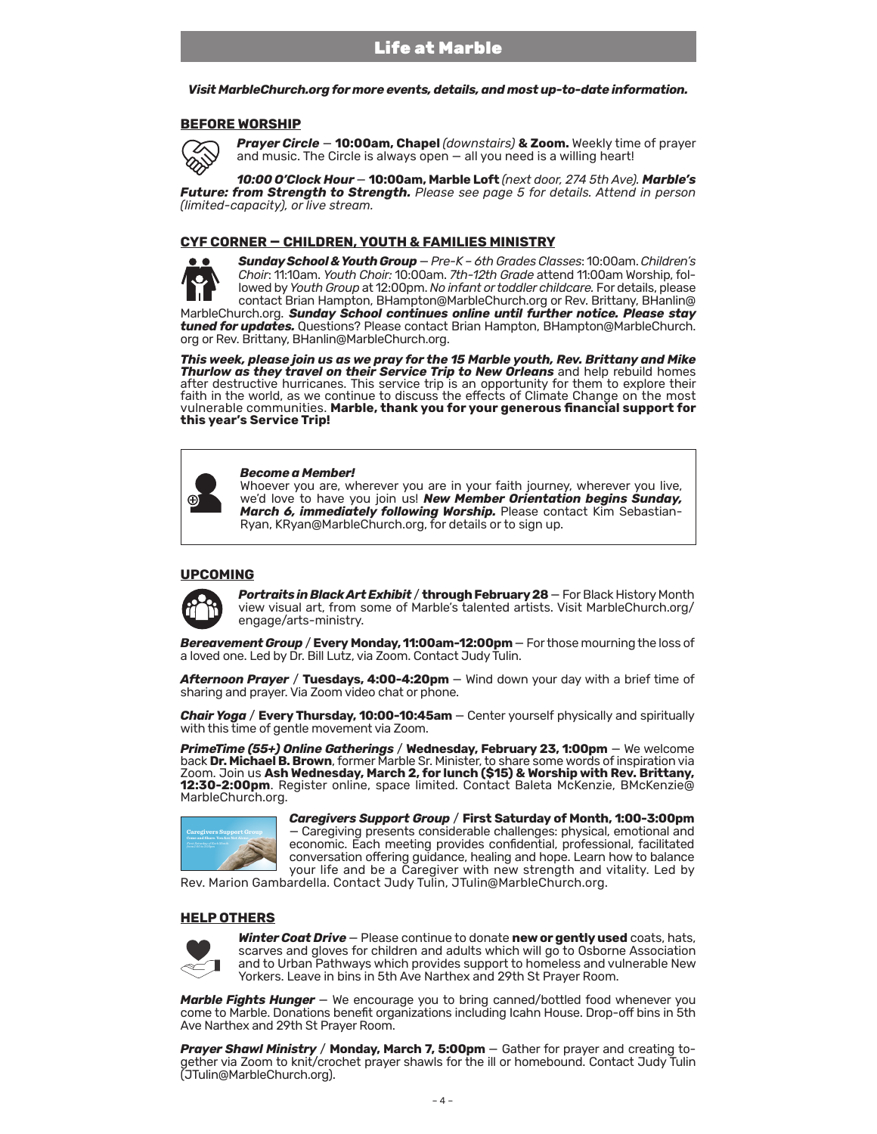*Visit MarbleChurch.org for more events, details, and most up-to-date information.* 

#### **BEFORE WORSHIP**



*Prayer Circle* — **10:00am, Chapel** *(downstairs)* **& Zoom.** Weekly time of prayer and music. The Circle is always open — all you need is a willing heart!

*10:00 O'Clock Hour* — **10:00am, Marble Loft** *(next door, 274 5th Ave). Marble's Future: from Strength to Strength. Please see page 5 for details. Attend in person (limited-capacity), or live stream.*

#### **CYF CORNER — CHILDREN, YOUTH & FAMILIES MINISTRY**

*Sunday School & Youth Group* — *Pre-K – 6th Grades Classes*: 10:00am.*Children's Choir*: 11:10am. *Youth Choir:* 10:00am. *7th-12th Grade* attend 11:00am Worship, followed by *Youth Group* at 12:00pm.*No infant or toddler childcare.* For details, please contact Brian Hampton, BHampton@MarbleChurch.org or Rev. Brittany, BHanlin@ MarbleChurch.org. *Sunday School continues online until further notice. Please stay tuned for updates.* Questions? Please contact Brian Hampton, BHampton@MarbleChurch. org or Rev. Brittany, BHanlin@MarbleChurch.org.

*This week, please join us as we pray for the 15 Marble youth, Rev. Brittany and Mike Thurlow as they travel on their Service Trip to New Orleans* and help rebuild homes after destructive hurricanes. This service trip is an opportunity for them to explore their faith in the world, as we continue to discuss the effects of Climate Change on the most vulnerable communities. **Marble, thank you for your generous financial support for this year's Service Trip!**

#### *Become a Member!*

Whoever you are, wherever you are in your faith journey, wherever you live, we'd love to have you join us! *New Member Orientation begins Sunday, March 6, immediately following Worship.* Please contact Kim Sebastian-Ryan, KRyan@MarbleChurch.org, for details or to sign up.

#### **UPCOMING**



*Portraits in Black Art Exhibit* / **through February 28** — For Black History Month view visual art, from some of Marble's talented artists. Visit MarbleChurch.org/ engage/arts-ministry.

*Bereavement Group* / **Every Monday, 11:00am-12:00pm** — For those mourning the loss of a loved one. Led by Dr. Bill Lutz, via Zoom. Contact Judy Tulin.

*Afternoon Prayer* / **Tuesdays, 4:00-4:20pm** — Wind down your day with a brief time of sharing and prayer. Via Zoom video chat or phone.

*Chair Yoga* / **Every Thursday, 10:00-10:45am** — Center yourself physically and spiritually with this time of gentle movement via Zoom.

*PrimeTime (55+) Online Gatherings* / **Wednesday, February 23, 1:00pm** — We welcome back **Dr. Michael B. Brown**, former Marble Sr. Minister, to share some words of inspiration via Zoom. Join us **Ash Wednesday, March 2, for lunch (\$15) & Worship with Rev. Brittany, 12:30-2:00pm**. Register online, space limited. Contact Baleta McKenzie, BMcKenzie@ MarbleChurch.org.



*Caregivers Support Group* / **First Saturday of Month, 1:00-3:00pm**  — Caregiving presents considerable challenges: physical, emotional and economic. Each meeting provides confidential, professional, facilitated conversation offering guidance, healing and hope. Learn how to balance your life and be a Caregiver with new strength and vitality. Led by

Rev. Marion Gambardella. Contact Judy Tulin, JTulin@MarbleChurch.org.

#### **HELP OTHERS**



*Winter Coat Drive* — Please continue to donate **new or gently used** coats, hats, scarves and gloves for children and adults which will go to Osborne Association and to Urban Pathways which provides support to homeless and vulnerable New Yorkers. Leave in bins in 5th Ave Narthex and 29th St Prayer Room.

**Marble Fights Hunger** – We encourage you to bring canned/bottled food whenever you come to Marble. Donations benefit organizations including Icahn House. Drop-off bins in 5th Ave Narthex and 29th St Prayer Room.

*Prayer Shawl Ministry* **/ Monday, March 7, 5:00pm** – Gather for prayer and creating together via Zoom to knit/crochet prayer shawls for the ill or homebound. Contact Judy Tulin (JTulin@MarbleChurch.org).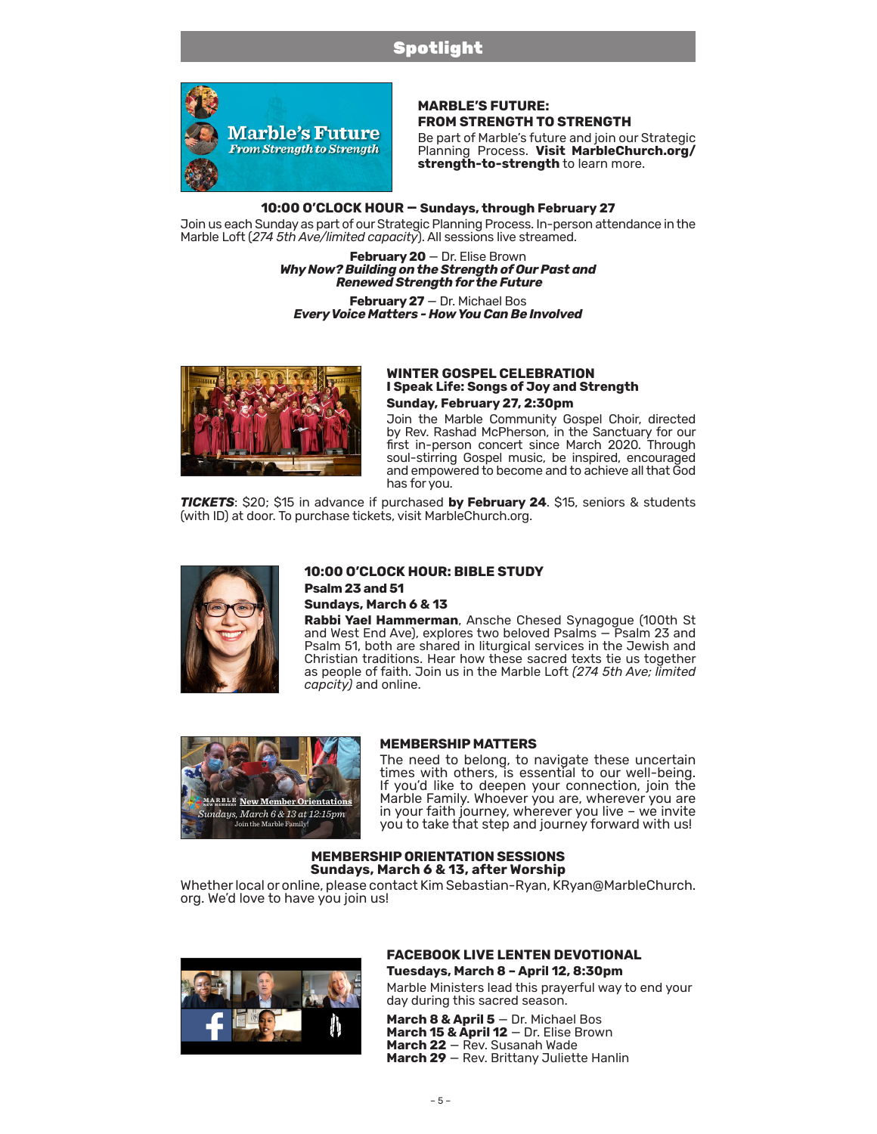## Spotlight



### **MARBLE'S FUTURE: FROM STRENGTH TO STRENGTH**

Be part of Marble's future and join our Strategic Planning Process. **Visit [MarbleChurch.org/](https://www.marblechurch.org/strength-to-strength) [strength-to-strength](https://www.marblechurch.org/strength-to-strength)** to learn more.

### **10:00 O'CLOCK HOUR — Sundays, through February 27**

Join us each Sunday as part of our Strategic Planning Process. In-person attendance in the Marble Loft (*274 5th Ave/limited capacity*). All sessions live streamed.

> **February 20** — Dr. Elise Brown *Why Now? Building on the Strength of Our Past and Renewed Strength for the Future*

**February 27** — Dr. Michael Bos *Every Voice Matters - How You Can Be Involved*



#### **WINTER GOSPEL CELEBRATION I Speak Life: Songs of Joy and Strength Sunday, February 27, 2:30pm**

Join the Marble Community Gospel Choir, directed by Rev. Rashad McPherson, in the Sanctuary for our first in-person concert since March 2020. Through soul-stirring Gospel music, be inspired, encouraged and empowered to become and to achieve all that God has for you.

*TICKETS*: \$20; \$15 in advance if purchased **by February 24**. \$15, seniors & students (with ID) at door. To purchase tickets, visit MarbleChurch.org.



#### **10:00 O'CLOCK HOUR: BIBLE STUDY Psalm 23 and 51 Sundays, March 6 & 13**

**Rabbi Yael Hammerman**, Ansche Chesed Synagogue (100th St and West End Ave), explores two beloved Psalms — Psalm 23 and Psalm 51, both are shared in liturgical services in the Jewish and Christian traditions. Hear how these sacred texts tie us together as people of faith. Join us in the Marble Loft *(274 5th Ave; limited capcity)* and online.



#### **MEMBERSHIP MATTERS**

The need to belong, to navigate these uncertain times with others, is essential to our well-being.<br>If you'd like to deepen your connection, join the Marble Family. Whoever you are, wherever you are in your faith journey, wherever you live – we invite you to take that step and journey forward with us!

#### **MEMBERSHIP ORIENTATION SESSIONS Sundays, March 6 & 13, after Worship**

Whether local or online, please contact Kim Sebastian-Ryan, KRyan@MarbleChurch.<br>org. We'd love to have you join us!



# **FACEBOOK LIVE LENTEN DEVOTIONAL**

**Tuesdays, March 8 – April 12, 8:30pm** Marble Ministers lead this prayerful way to end your day during this sacred season.

**March 8 & April 5** — Dr. Michael Bos **March 15 & April 12** — Dr. Elise Brown **March 22** — Rev. Susanah Wade **March 29** — Rev. Brittany Juliette Hanlin